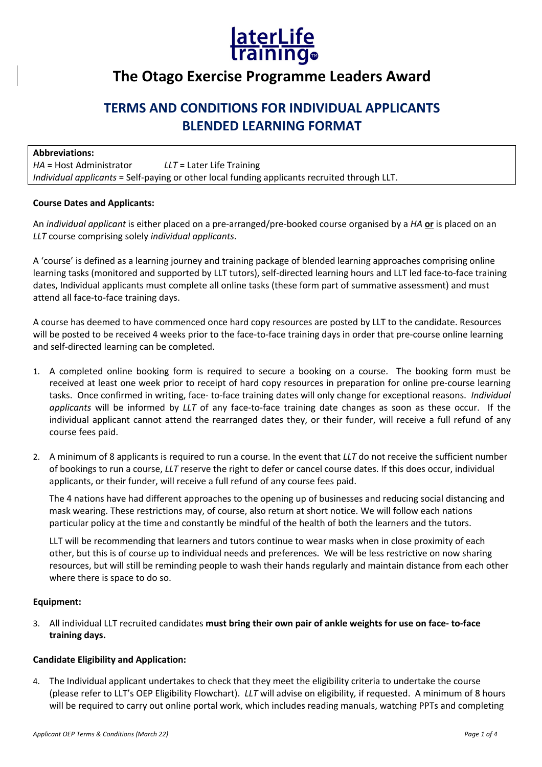

# **The Otago Exercise Programme Leaders Award**

## **TERMS AND CONDITIONS FOR INDIVIDUAL APPLICANTS BLENDED LEARNING FORMAT**

| <b>Abbreviations:</b>     |                                                                                              |
|---------------------------|----------------------------------------------------------------------------------------------|
| $HA = Host$ Administrator | $LLT =$ Later Life Training                                                                  |
|                           | Individual applicants = Self-paying or other local funding applicants recruited through LLT. |

#### **Course Dates and Applicants:**

An *individual applicant* is either placed on a pre-arranged/pre-booked course organised by a *HA* **or** is placed on an *LLT* course comprising solely *individual applicants*.

A 'course' is defined as a learning journey and training package of blended learning approaches comprising online learning tasks (monitored and supported by LLT tutors), self-directed learning hours and LLT led face-to-face training dates, Individual applicants must complete all online tasks (these form part of summative assessment) and must attend all face-to-face training days.

A course has deemed to have commenced once hard copy resources are posted by LLT to the candidate. Resources will be posted to be received 4 weeks prior to the face-to-face training days in order that pre-course online learning and self-directed learning can be completed.

- 1. A completed online booking form is required to secure a booking on a course. The booking form must be received at least one week prior to receipt of hard copy resources in preparation for online pre-course learning tasks. Once confirmed in writing, face- to-face training dates will only change for exceptional reasons. *Individual applicants* will be informed by *LLT* of any face-to-face training date changes as soon as these occur. If the individual applicant cannot attend the rearranged dates they, or their funder, will receive a full refund of any course fees paid.
- 2. A minimum of 8 applicants is required to run a course. In the event that *LLT* do not receive the sufficient number of bookings to run a course, *LLT* reserve the right to defer or cancel course dates. If this does occur, individual applicants, or their funder, will receive a full refund of any course fees paid.

The 4 nations have had different approaches to the opening up of businesses and reducing social distancing and mask wearing. These restrictions may, of course, also return at short notice. We will follow each nations particular policy at the time and constantly be mindful of the health of both the learners and the tutors.

LLT will be recommending that learners and tutors continue to wear masks when in close proximity of each other, but this is of course up to individual needs and preferences. We will be less restrictive on now sharing resources, but will still be reminding people to wash their hands regularly and maintain distance from each other where there is space to do so.

#### **Equipment:**

3. All individual LLT recruited candidates **must bring their own pair of ankle weights for use on face- to-face training days.**

#### **Candidate Eligibility and Application:**

4. The Individual applicant undertakes to check that they meet the eligibility criteria to undertake the course (please refer to LLT's OEP Eligibility Flowchart). *LLT* will advise on eligibility*,* if requested. A minimum of 8 hours will be required to carry out online portal work, which includes reading manuals, watching PPTs and completing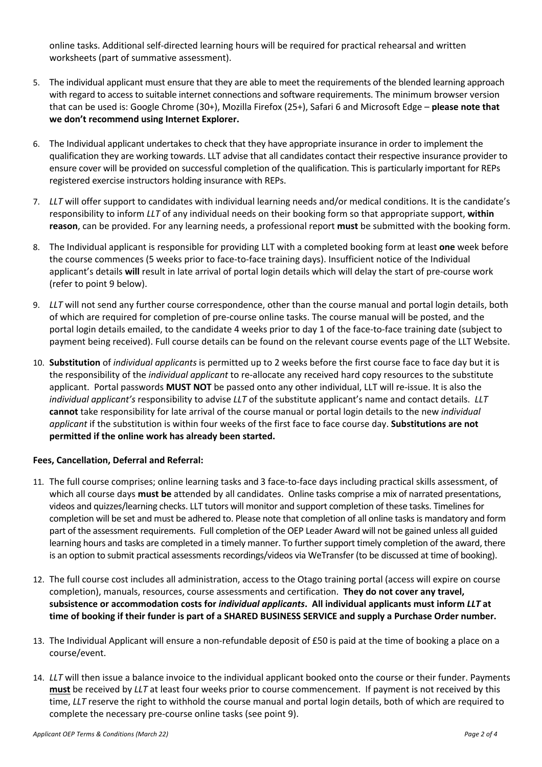online tasks. Additional self-directed learning hours will be required for practical rehearsal and written worksheets (part of summative assessment).

- 5. The individual applicant must ensure that they are able to meet the requirements of the blended learning approach with regard to access to suitable internet connections and software requirements. The minimum browser version that can be used is: Google Chrome (30+), Mozilla Firefox (25+), Safari 6 and Microsoft Edge – **please note that we don't recommend using Internet Explorer.**
- 6. The Individual applicant undertakes to check that they have appropriate insurance in order to implement the qualification they are working towards. LLT advise that all candidates contact their respective insurance provider to ensure cover will be provided on successful completion of the qualification. This is particularly important for REPs registered exercise instructors holding insurance with REPs.
- 7. *LLT* will offer support to candidates with individual learning needs and/or medical conditions. It is the candidate's responsibility to inform *LLT* of any individual needs on their booking form so that appropriate support, **within reason**, can be provided. For any learning needs, a professional report **must** be submitted with the booking form.
- 8. The Individual applicant is responsible for providing LLT with a completed booking form at least **one** week before the course commences (5 weeks prior to face-to-face training days). Insufficient notice of the Individual applicant's details **will** result in late arrival of portal login details which will delay the start of pre-course work (refer to point 9 below).
- 9. *LLT* will not send any further course correspondence, other than the course manual and portal login details, both of which are required for completion of pre-course online tasks. The course manual will be posted, and the portal login details emailed, to the candidate 4 weeks prior to day 1 of the face-to-face training date (subject to payment being received). Full course details can be found on the relevant course events page of the LLT Website.
- 10. **Substitution** of *individual applicants* is permitted up to 2 weeks before the first course face to face day but it is the responsibility of the *individual applicant* to re-allocate any received hard copy resources to the substitute applicant. Portal passwords **MUST NOT** be passed onto any other individual, LLT will re-issue. It is also the *individual applicant's* responsibility to advise *LLT* of the substitute applicant's name and contact details. *LLT* **cannot** take responsibility for late arrival of the course manual or portal login details to the new *individual applicant* if the substitution is within four weeks of the first face to face course day. **Substitutions are not permitted if the online work has already been started.**

### **Fees, Cancellation, Deferral and Referral:**

- 11. The full course comprises; online learning tasks and 3 face-to-face days including practical skills assessment, of which all course days **must be** attended by all candidates. Online tasks comprise a mix of narrated presentations, videos and quizzes/learning checks. LLT tutors will monitor and support completion of these tasks. Timelines for completion will be set and must be adhered to. Please note that completion of all online tasks is mandatory and form part of the assessment requirements. Full completion of the OEP Leader Award will not be gained unless all guided learning hours and tasks are completed in a timely manner. To further support timely completion of the award, there is an option to submit practical assessments recordings/videos via WeTransfer (to be discussed at time of booking).
- 12. The full course cost includes all administration, access to the Otago training portal (access will expire on course completion), manuals, resources, course assessments and certification. **They do not cover any travel, subsistence or accommodation costs for** *individual applicants***. All individual applicants must inform** *LLT* **at time of booking if their funder is part of a SHARED BUSINESS SERVICE and supply a Purchase Order number.**
- 13. The Individual Applicant will ensure a non-refundable deposit of £50 is paid at the time of booking a place on a course/event.
- 14. *LLT* will then issue a balance invoice to the individual applicant booked onto the course or their funder. Payments **must** be received by *LLT* at least four weeks prior to course commencement. If payment is not received by this time, *LLT* reserve the right to withhold the course manual and portal login details, both of which are required to complete the necessary pre-course online tasks (see point 9).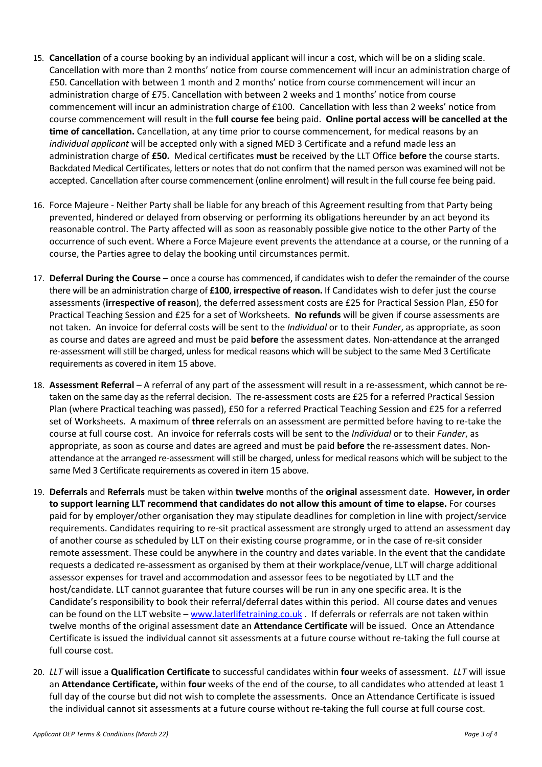- 15. **Cancellation** of a course booking by an individual applicant will incur a cost, which will be on a sliding scale. Cancellation with more than 2 months' notice from course commencement will incur an administration charge of £50. Cancellation with between 1 month and 2 months' notice from course commencement will incur an administration charge of £75. Cancellation with between 2 weeks and 1 months' notice from course commencement will incur an administration charge of £100. Cancellation with less than 2 weeks' notice from course commencement will result in the **full course fee** being paid. **Online portal access will be cancelled at the time of cancellation.** Cancellation, at any time prior to course commencement, for medical reasons by an *individual applicant* will be accepted only with a signed MED 3 Certificate and a refund made less an administration charge of **£50.** Medical certificates **must** be received by the LLT Office **before** the course starts. Backdated Medical Certificates, letters or notes that do not confirm that the named person was examined will not be accepted. Cancellation after course commencement (online enrolment) will result in the full course fee being paid.
- 16. Force Majeure Neither Party shall be liable for any breach of this Agreement resulting from that Party being prevented, hindered or delayed from observing or performing its obligations hereunder by an act beyond its reasonable control. The Party affected will as soon as reasonably possible give notice to the other Party of the occurrence of such event. Where a Force Majeure event prevents the attendance at a course, or the running of a course, the Parties agree to delay the booking until circumstances permit.
- 17. **Deferral During the Course** once a course has commenced, if candidates wish to defer the remainder of the course there will be an administration charge of **£100**, **irrespective of reason.** If Candidates wish to defer just the course assessments (**irrespective of reason**), the deferred assessment costs are £25 for Practical Session Plan, £50 for Practical Teaching Session and £25 for a set of Worksheets. **No refunds** will be given if course assessments are not taken. An invoice for deferral costs will be sent to the *Individual* or to their *Funder*, as appropriate, as soon as course and dates are agreed and must be paid **before** the assessment dates. Non-attendance at the arranged re-assessment will still be charged, unless for medical reasons which will be subject to the same Med 3 Certificate requirements as covered in item 15 above.
- 18. **Assessment Referral**  A referral of any part of the assessment will result in a re-assessment, which cannot be retaken on the same day as the referral decision. The re-assessment costs are £25 for a referred Practical Session Plan (where Practical teaching was passed), £50 for a referred Practical Teaching Session and £25 for a referred set of Worksheets. A maximum of **three** referrals on an assessment are permitted before having to re-take the course at full course cost. An invoice for referrals costs will be sent to the *Individual* or to their *Funder*, as appropriate, as soon as course and dates are agreed and must be paid **before** the re-assessment dates. Nonattendance at the arranged re-assessment will still be charged, unless for medical reasons which will be subject to the same Med 3 Certificate requirements as covered in item 15 above.
- 19. **Deferrals** and **Referrals** must be taken within **twelve** months of the **original** assessment date. **However, in order to support learning LLT recommend that candidates do not allow this amount of time to elapse.** For courses paid for by employer/other organisation they may stipulate deadlines for completion in line with project/service requirements. Candidates requiring to re-sit practical assessment are strongly urged to attend an assessment day of another course as scheduled by LLT on their existing course programme, or in the case of re-sit consider remote assessment. These could be anywhere in the country and dates variable. In the event that the candidate requests a dedicated re-assessment as organised by them at their workplace/venue, LLT will charge additional assessor expenses for travel and accommodation and assessor fees to be negotiated by LLT and the host/candidate. LLT cannot guarantee that future courses will be run in any one specific area. It is the Candidate's responsibility to book their referral/deferral dates within this period. All course dates and venues can be found on the LLT website – www.laterlifetraining.co.uk . If deferrals or referrals are not taken within twelve months of the original assessment date an **Attendance Certificate** will be issued. Once an Attendance Certificate is issued the individual cannot sit assessments at a future course without re-taking the full course at full course cost.
- 20. *LLT* will issue a **Qualification Certificate** to successful candidates within **four** weeks of assessment. *LLT* will issue an **Attendance Certificate,** within **four** weeks of the end of the course, to all candidates who attended at least 1 full day of the course but did not wish to complete the assessments. Once an Attendance Certificate is issued the individual cannot sit assessments at a future course without re-taking the full course at full course cost.